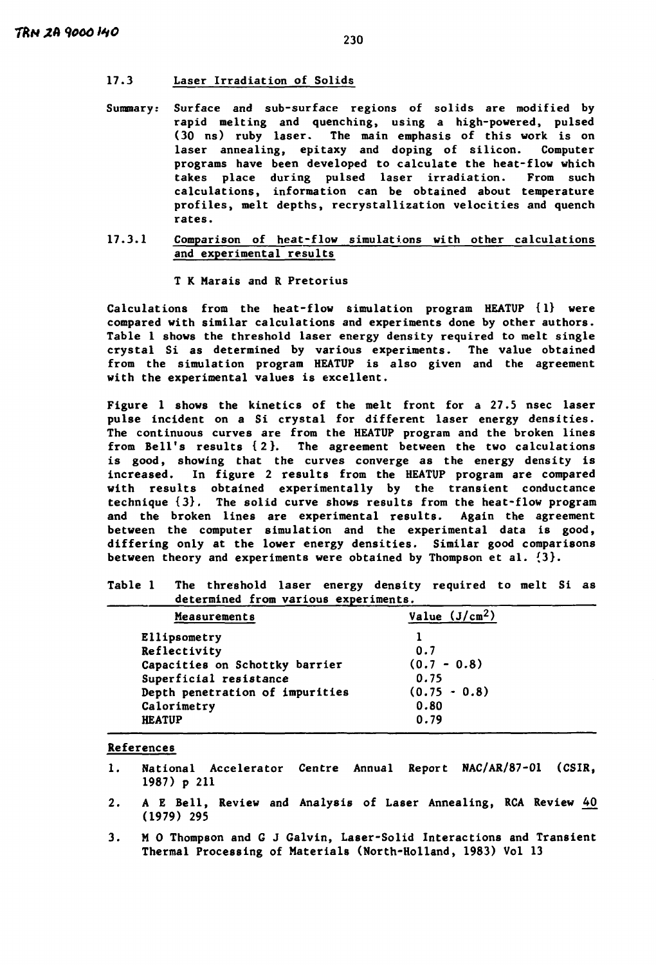## **17.3 Laser Irradiation of Solids**

- **Summary: Surface and sub-surface regions of solids are modified by rapid melting and quenching, using a high-powered, pulsed (30 ns) ruby laser. The main emphasis of this work is on laser annealing, epitaxy and doping of silicon. Computer programs have been developed to calculate the heat-flow which takes place during pulsed laser irradiation. From such calculations, information can be obtained about temperature profiles, melt depths, recrystallization velocities and quench rates.**
- **17.3.1 Comparison of heat-flow simulations with other calculations and experimental results**

### **T K Marais and R Pretorius**

**Calculations from the heat-flow simulation program HEATUP {1} were compared with similar calculations and experiments done by other authors. Table 1 shows the threshold laser energy density required to melt single crystal Si as determined by various experiments. The value obtained from the simulation program HEATUP is also given and the agreement with the experimental values is excellent.** 

**Figure 1 shows the kinetics of the melt front for a 27.5 nsec laser pulse incident on a Si crystal for different laser energy densities. The continuous curves are from the HEATUP program and the broken lines from Bell's results {2}. The agreement between the two calculations is good, showing that the curves converge as the energy density is increased. In figure 2 results from the HEATUP program are compared with results obtained experimentally by the transient conductance technique {3}. The solid curve shows results from the heat-flow program and the broken lines are experimental results. Again the agreement between the computer simulation and the experimental data is good, differing only at the lower energy densities. Similar good comparisons between theory and experiments were obtained by Thompson et al. {3}.** 

**Table 1 The threshold laser energy density required to melt Si as determined from various experiments.** 

| Measurements                    | Value $(J/cm2)$ |  |
|---------------------------------|-----------------|--|
| Ellipsometry                    |                 |  |
| Reflectivity                    | 0.7             |  |
| Capacities on Schottky barrier  | $(0.7 - 0.8)$   |  |
| Superficial resistance          | 0.75            |  |
| Depth penetration of impurities | $(0.75 - 0.8)$  |  |
| Calorimetry                     | 0.80            |  |
| <b>HEATUP</b>                   | 0.79            |  |

### **References**

- **1. National Accelerator Centre Annual Report NAC/AR/87-01 (CSIR, 1987) p 211**
- **2. A E Bell, Review and Analysis of Laser Annealing, RCA Review** *U0\_*  **(1979) 295**
- **3. M O Thompson and G J Galvin, Laser-Solid Interactions and Transient Thermal Processing of Materials (North-Holland, 1983) Vol 13**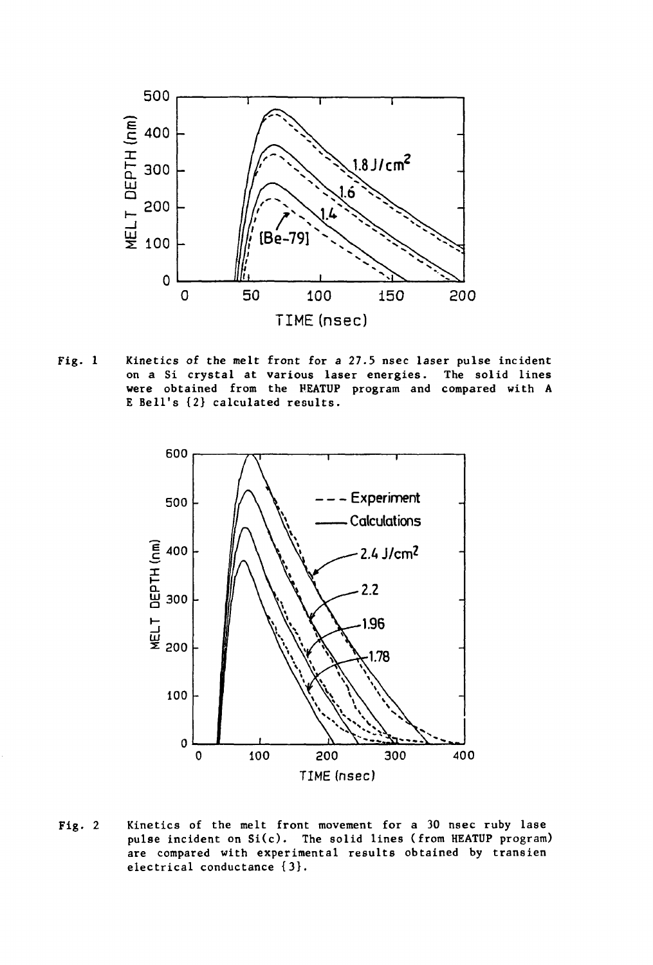

Fig.  $1$ Kinetics of the melt front for a 27.5 nsec laser pulse incident on a Si crystal at various laser energies. The solid lines were obtained from the HEATUP program and compared with A E Bell's {2} calculated results.



Fig. 2 Kinetics of the melt front movement for a 30 nsec ruby lase pulse incident on Si(c). The solid lines (from HEATUP program) are compared with experimental results obtained by transien electrical conductance {3}.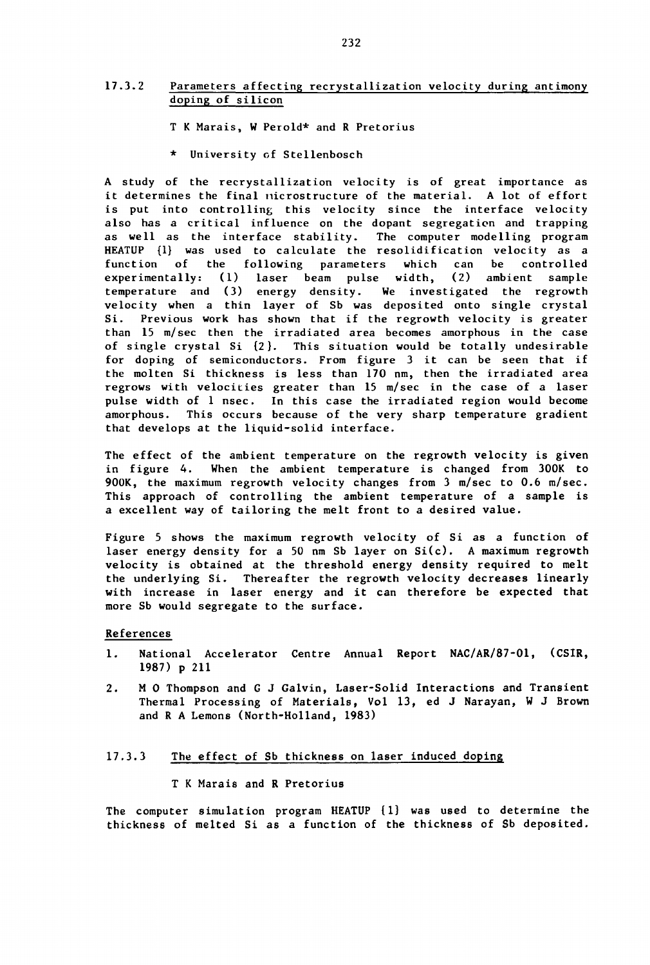# **17.3.2 Parameters affecting recrystallization velocity during antimony doping of silicon**

**T K Marais, W Perold\* and R Pretorius** 

**\* University of Stellenbosch** 

**A study of the recrystallization velocity is of great importance as it determines the final nicrostructure of the material. A lot of effort is put into controlling this velocity since the interface velocity also has a critical influence on the dopant segregation and trapping as well as the interface stability. The computer modelling program HEATUP {1} was used to calculate the resolidification velocity as a function of the following parameters which can be controlled experimentally: (1) laser beam pulse width, (2) ambient sample temperature and (3) energy density. We investigated the regrowth velocity when a thin layer of Sb was deposited onto single crystal Si. Previous work has shown that if the regrowth velocity is greater than 15 m/sec then the irradiated area becomes amorphous in the case of single crystal Si {2}. This situation would be totally undesirable for doping of semiconductors. From figure 3 it can be seen that if the molten Si thickness is less than 170 nm, then the irradiated area regrows with velocities greater than 15 m/sec in the case of a laser pulse width of 1 nsec. In this case the irradiated region would become amorphous. This occurs because of the very sharp temperature gradient that develops at the liquid-solid interface.** 

**The effect of the ambient temperature on the regrowth velocity is given in figure 4. When the ambient temperature is changed from 300K to 900K, the maximum regrowth velocity changes from 3 m/sec to 0.6 m/sec. This approach of controlling the ambient temperature of a sample is a excellent way of tailoring the melt front to a desired value.** 

**Figure 5 shows the maximum regrowth velocity of Si as a function of laser energy density for a 50 nm Sb layer on Si(c). A maximum regrowth velocity is obtained at the threshold energy density required to melt the underlying Si. Thereafter the regrowth velocity decreases linearly with increase in laser energy and it can therefore be expected that more Sb would segregate to the surface.** 

#### **References**

- **1. National Accelerator Centre Annual Report NAC/AR/87-01, (CSIR, 1987) p 211**
- **2. M O Thompson and G J Galvin, Laser-Solid Interactions and Transient Thermal Processing of Materials, Vol 13, ed J Narayan, W J Brown and R A Lemons (North-Holland, 1983)**

### **17.3.3 The effect of Sb thickness on laser induced doping**

**T K Marais and R Pretorius** 

**The computer simulation program HEATUP {1} was used to determine the thickness of melted Si as a function of the thickness of Sb deposited.**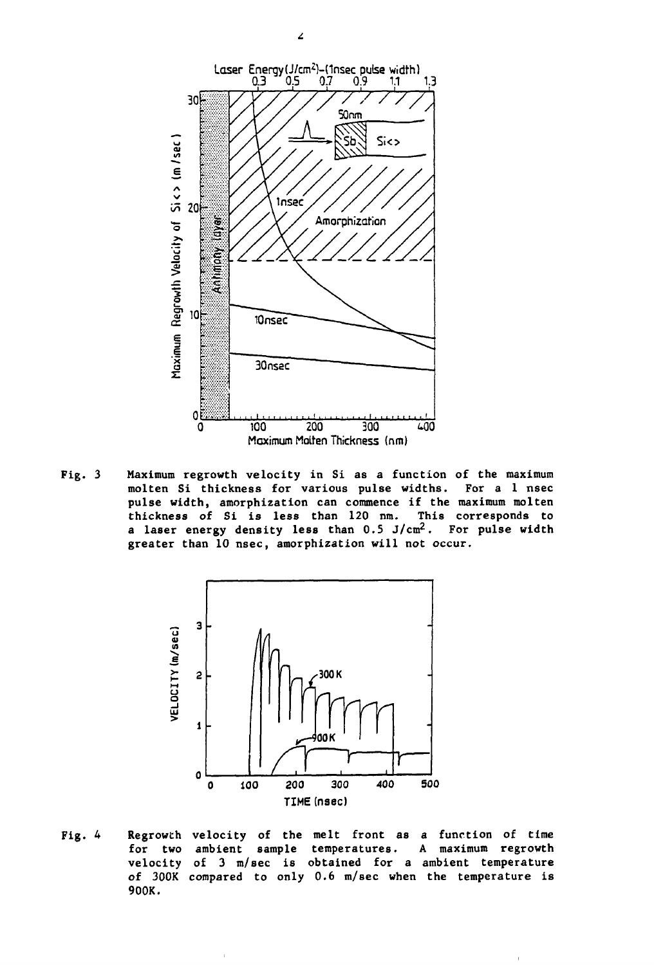

Fig. 3 **Maximum regrowth velocity in Si as a function of the maximum molten Si thickness for various pulse widths. For a 1 nsec pulse width, amorphization can commence if the maximum molten**  thickness of Si is less than 120 nm. **a laser energy density less than 0.5 J/cm2. For pulse width greater than 10 nsec, amorphization will not occur.** 



**Regrowth velocity of the melt front as a function of time**  Fig.  $4$ **for two ambient sample temperatures. A maximum regrowth velocity of 3 m/sec is obtained for a ambient temperature of 300K compared to only 0.6 m/sec when the temperature is 900K.**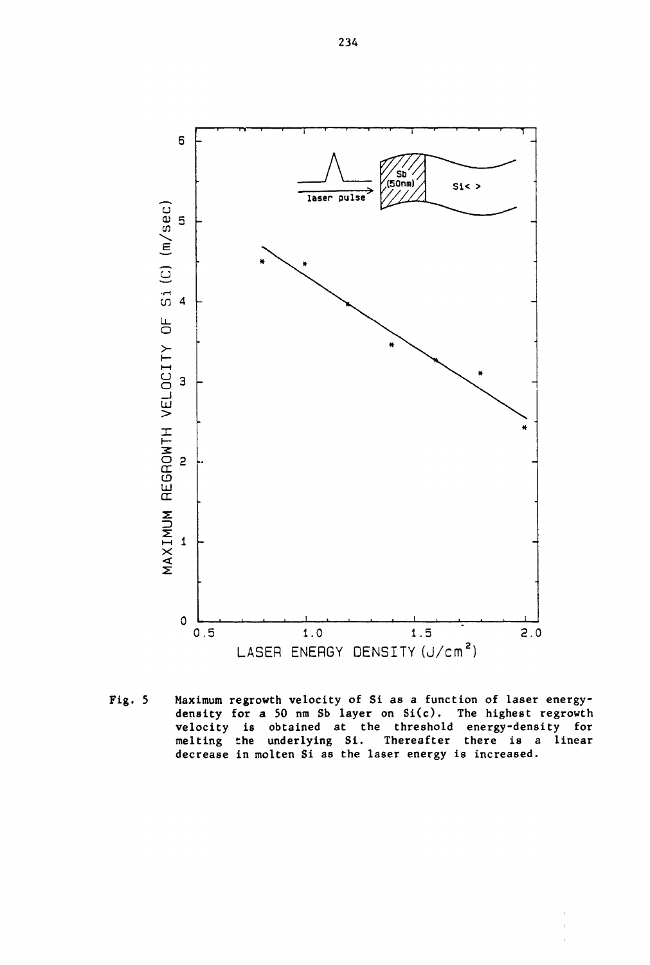

Fig. 5 **Maximum regrowth velocity of Si as a function of laser energydensity for a 50 nm Sb layer on Si(c). The highest regrowth velocity is obtained at the threshold energy-density for melting the underlying Si. Thereafter there is a linear decrease in molten Si as the laser energy is increased.**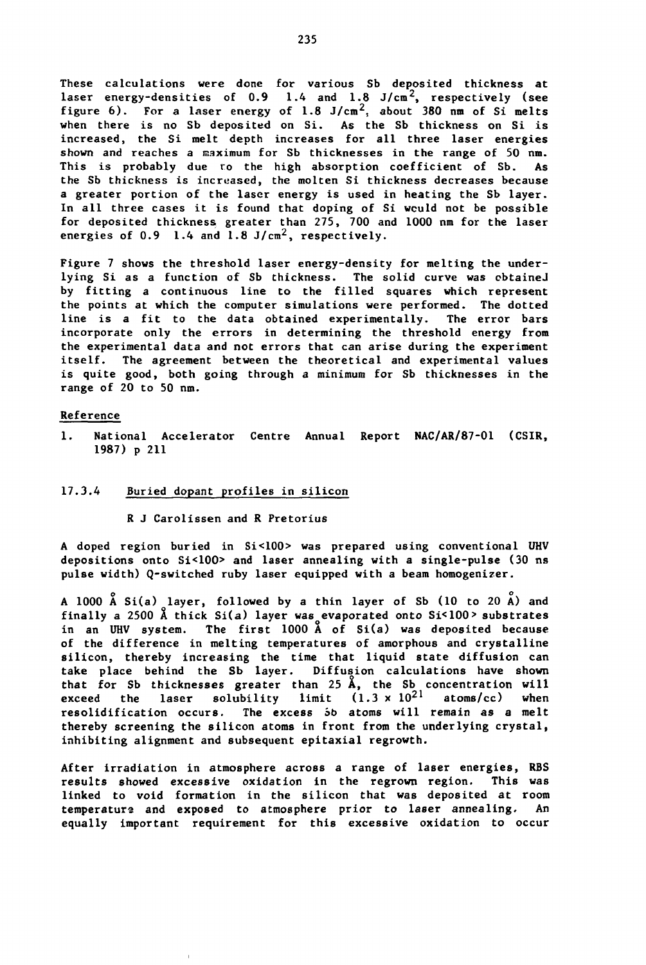**These calculations were done for various Sb deposited thickness at**  laser energy-densities of 0.9 1.4 and 1.8 J/cm<sup>2</sup>, respectively (see **figure 6). For a laser energy of 1.8 J/cm2, about 380 nm of Si melts when there is no Sb deposited on Si. As the Sb thickness on Si is increased, the Si melt depth increases for all three laser energies**  shown and reaches a maximum for Sb thicknesses in the range of 50 nm. **This is probably due to the high absorption coefficient of Sb. As the Sb thickness is increased, the molten Si thickness decreases because a greater portion of the laser energy is used in heating the Sb layer. In all three cases it is found that doping of Si wculd not be possible for deposited thickness greater than 275, 700 and 1000 nm for the laser energies of 0.9 1.4 and 1.8 J/cm2, respectively.** 

**Figure 7 shows the threshold laser energy-density for melting the underlying Si as a function of Sb thickness. The solid curve was obtaineJ by fitting a continuous line to the filled squares which represent the points at which the computer simulations were performed. The dotted line is a fit to the data obtained experimentally. The error bars incorporate only the errors in determining the threshold energy from the experimental data and not errors that can arise during the experiment itself. The agreement between the theoretical and experimental values is quite good, both going through a minimum for Sb thicknesses in the range of 20 to 50 nm.** 

## **Reference**

**1. National Accelerator Centre Annual Report NAC/AR/87-01 (CSIR, 1987) p 211** 

# **17.3.4 Buried dopant profiles in silicon**

**R J Carolissen and R Pretorius** 

**A doped region buried in Si<100> was prepared using conventional UHV depositions onto Si<100> and laser annealing with a single-pulse (30 ns pulse width) Q-switched ruby laser equipped with a beam homogenizer.** 

**A 1000 A Si(a) layer, followed by a thin layer of Sb (10 to 20 A) and finally a 2500 A thick Si(a) layer was evaporated onto Si<100> substrates in an UHV system. The first 1000 A of Si(a) was deposited because of the difference in melting temperatures of amorphous and crystalline silicon, thereby increasing the time that liquid state diffusion can take place behind the Sb layer. Diffusion calculations have shown that for Sb thicknesses greater than 25 A, the Sb concentration will exceed** the laser solubility limit  $(1.3 \times 10^{21} \text{ atoms/cc})$  when **resolidification occurs. The excess Sb atoms will remain as a melt thereby screening the silicon atoms in front from the underlying crystal, inhibiting alignment and subsequent epitaxial regrowth.** 

**After irradiation in atmosphere across a range of laser energies, RBS results showed excessive oxidation in the regrown region. This was linked to void formation in the silicon that was deposited at room temperature and exposed to atmosphere prior to laser annealing. An equally important requirement for this excessive oxidation to occur**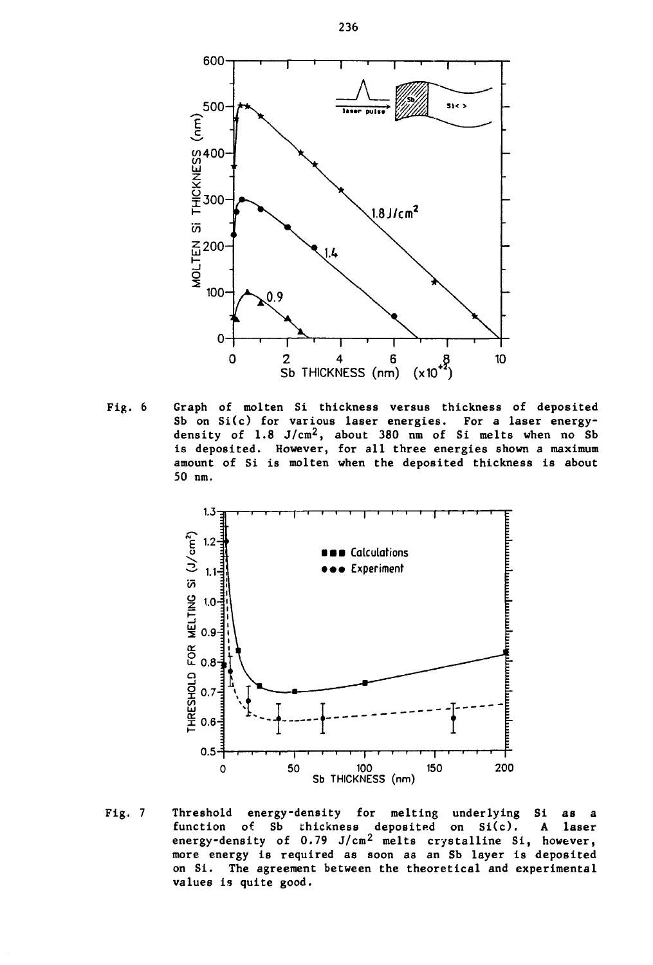

Fig. 6 **Graph of molten Si thickness versus thickness of deposited Sb on Si(c) for various laser energies. For a laser energydensity of 1.8 J/cm2, about 380 nm of Si melts when no Sb is deposited. However, for all three energies shown a maximum amount of Si is molten when the deposited thickness is about 50 nm.** 



Fig.  $7$ **Threshold energy-density for melting underlying Si as a function of Sb thickness deposited on Si(c). A laser energy-density of 0.79 J/cm2 melts crystalline Si, however, more energy is required as soon as an Sb layer is deposited on Si. The agreement between the theoretical and experimental values is quite good.**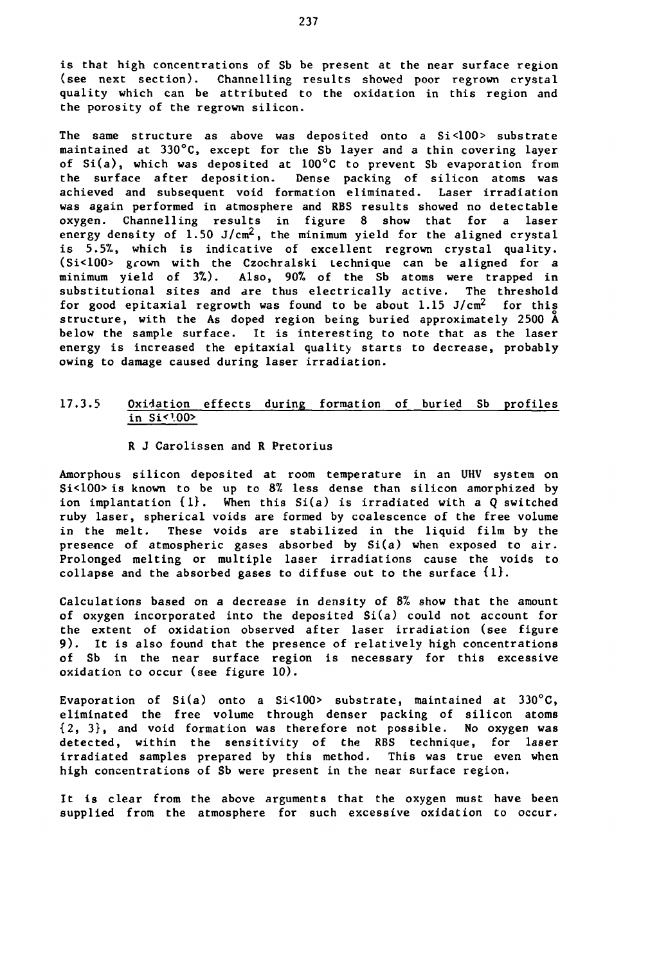**is that high concentrations of Sb be present at the near surface region (see next section). Channelling results showed poor regrown crystal quality which can be attributed to the oxidation in this region and the porosity of the regrown silicon.** 

**The same structure as above was deposited onto a Si<100> substrate maintained at 330°C, except for the Sb layer and a thin covering layer of Si(a), which was deposited at 100°C to prevent Sb evaporation from the surface after deposition. Dense packing of silicon atoms was achieved and subsequent void formation eliminated. Laser irradiation was again performed in atmosphere and RBS results showed no detectable oxygen. Channelling results in figure 8 show that for a laser energy density of 1.50 J/cm2, the minimum yield for the aligned crystal is 5.5%, which is indicative of excellent regrown crystal quality. (Si<100> grown with the Czochralski technique can be aligned for a minimum yield of 37.). Also, 90% of the Sb atoms were trapped in substitutional sites and are thus electrically active. The threshold for good epitaxial regrowth was found to be about 1.15 J/cm2 for this structure, with the As doped region being buried approximately 2500 A below the sample surface. It is interesting to note that as the laser energy is increased the epitaxial quality starts to decrease, probably owing to damage caused during laser irradiation.** 

# **17.3.5 Oxidation effects during formation of buried Sb profiles in Si<1.00>**

#### **R J Carolissen and R Pretorius**

**Amorphous silicon deposited at room temperature in an UHV system on Si<100> is known to be up to 87« less dense than silicon amorphized by ion implantation {1}. When this Si(a) is irradiated with a Q switched ruby laser, spherical voids are formed by coalescence of the free volume in the melt. These voids are stabilized in the liquid film by the presence of atmospheric gases absorbed by Si(a) when exposed to air. Prolonged melting or multiple laser irradiations cause the voids to collapse and the absorbed gases to diffuse out to the surface ill.** 

**Calculations based on a decrease in density of 8% show that the amount of oxygen incorporated into the deposited Si(a) could not account for the extent of oxidation observed after laser irradiation (see figure 9 ). It is also found that the presence of relatively high concentrations of Sb in the near surface region is necessary for this excessive oxidation to occur (see figure 10).** 

**Evaporation of Si(a) onto a Si<100> substrate, maintained at 330°C, eliminated the free volume through denser packing of silicon atoms {2, 3}, and void formation was therefore not possible. No oxygen was detected, within the sensitivity of the RBS technique, for laser irradiated samples prepared by this method. This was true even when high concentrations of Sb were present in the near surface region.** 

**It is clear from the above arguments that the oxygen must have been supplied from the atmosphere for such excessive oxidation to occur.**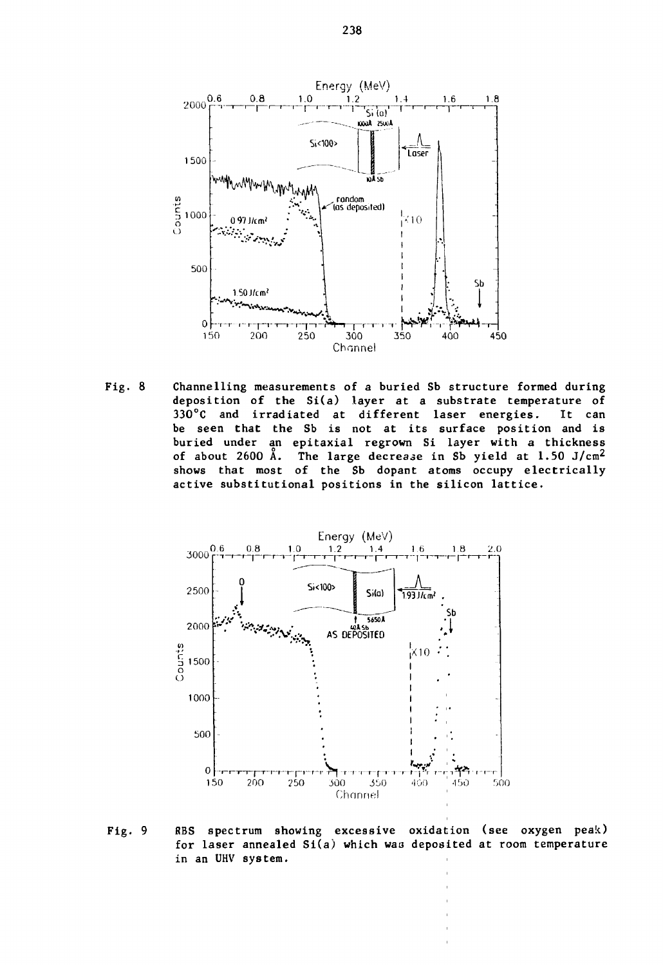

Fig. 8 **Channelling measurements of a buried Sb structure formed during deposition of the Si(a) layer at a substrate temperature of**  330°C and irradiated at different laser energies. **be seen that the Sb is not at its surface position and is buried under an epitaxial regrown Si layer with a thickness of about 2600 A. The large decrease in Sb yield at 1.50 J/cm<sup>2</sup> shows that most of the Sb dopant atoms occupy electrically active substitutional positions in the silicon lattice.** 



**BBS spectrum showing excessive oxidation (see oxygen peak)**  Fig. 9 **for laser annealed Si(a) which waa deposited at room temperature in an UHV system.**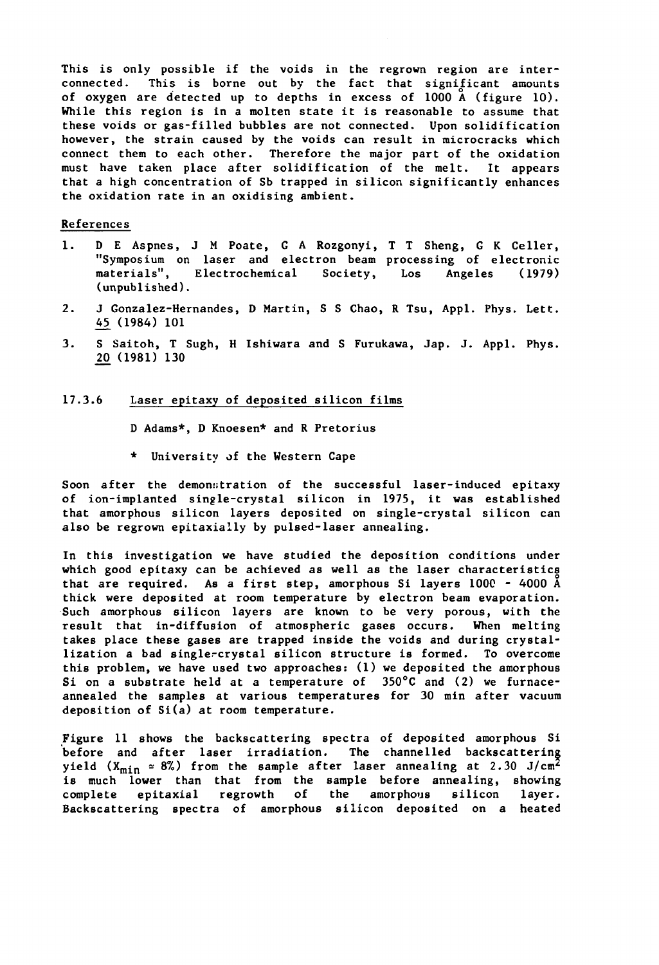**This is only possible if the voids in the regrown region are interconnected. This is borne out by the fact that significant amounts of oxygen are detected up to depths in excess of 1000 A (figure 10). While this region is in a molten state it is reasonable to assume that these voids or gas-filled bubbles are not connected. Upon solidification however, the strain caused by the voids can result in microcracks which connect them to each other. Therefore the major part of the oxidation must have taken place after solidification of the melt. It appears that a high concentration of Sb trapped in silicon significantly enhances the oxidation rate in an oxidising ambient.** 

# **References**

- **1. D E Aspnes, J M Poate, G A Rozgonyi, T T Sheng, G K Celler, "Symposium on laser and electron beam processing of electronic materials", Electrochemical Society, Los Angeles (1979) (unpublished).**
- **2. J Gonzalez-Hernandes, D Martin, S S Chao, R Tsu, Appl. Phys. Lett. 45\_ (1984) 101**
- **3. S Saitoh, T Sugh, H Ishiwara and S Furukawa, Jap. J. Appl. Phys. 20 (1981) 130**

### **17.3.6 Laser epitaxy of deposited silicon films**

- **D Adams\*, D Knoesen\* and R Pretorius**
- **\* University of the Western Cape**

**Soon after the demon»tration of the successful laser-induced epitaxy of ion-implanted single-crystal silicon in 1975, it was established that amorphous silicon layers deposited on single-crystal silicon can also be regrown epitaxially by pulsed-laser annealing.** 

**In this investigation we have studied the deposition conditions under which good epitaxy can be achieved as well as the laser characteristics that are required. As a first step, amorphous Si layers 1000 - 4000 A thick were deposited at room temperature by electron beam evaporation. Such amorphous silicon layers are known to be very porous, with the result that in-diffusion of atmospheric gases occurs. When melting takes place these gases are trapped inside the voids and during crystallization a bad single-crystal silicon structure is formed. To overcome this problem, we have used two approaches: (1) we deposited the amorphous Si on a substrate held at a temperature of 350°C and (2) we furnaceannealed the samples at various temperatures for 30 min after vacuum deposition of Si(a) at room temperature.** 

**Figure 11 shows the backscattering spectra of deposited amorphous Si before and after laser irradiation. The channelled backscattering**  yield  $(X_{min} \approx 8\%)$  from the sample after laser annealing at 2.30  $J/cm^2$ *ie* **much lower than that from the sample before annealing, showing complete epitaxial regrowth of the amorphous silicon layer. Backscattering spectra of amorphous silicon deposited on a heated**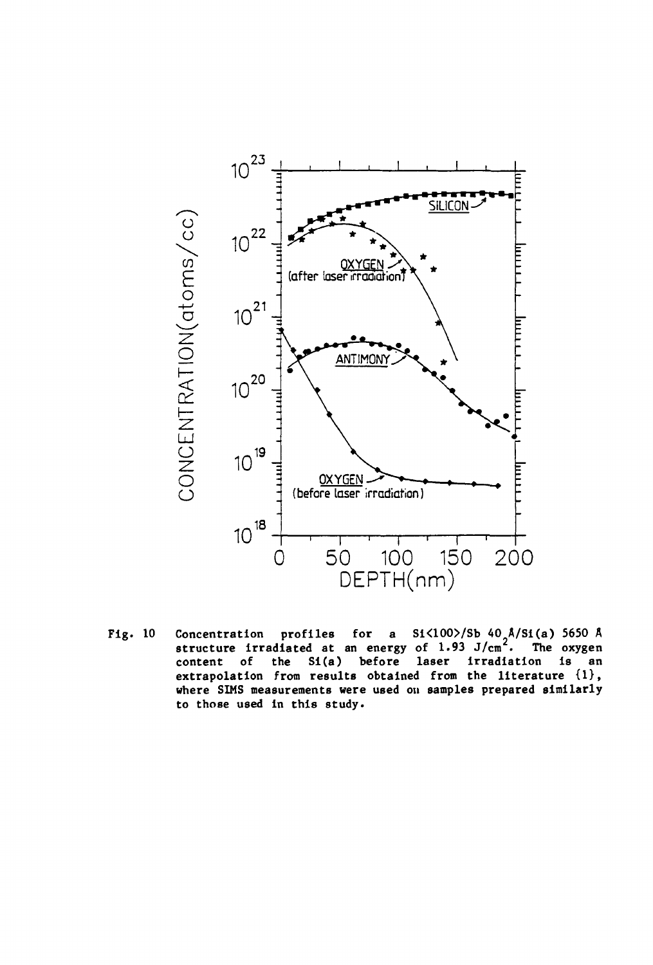

**10 Concentration profiles for a Si<100>/Sb 40 A/Si(a) 5650 A structure irradiated at an energy of 1.93 J/cm . The oxygen content of the Si(a) before laser irradiation is an extrapolation from results obtained from the literature {1}, where SIMS measurements were used on samples prepared similarly to those used in this study.**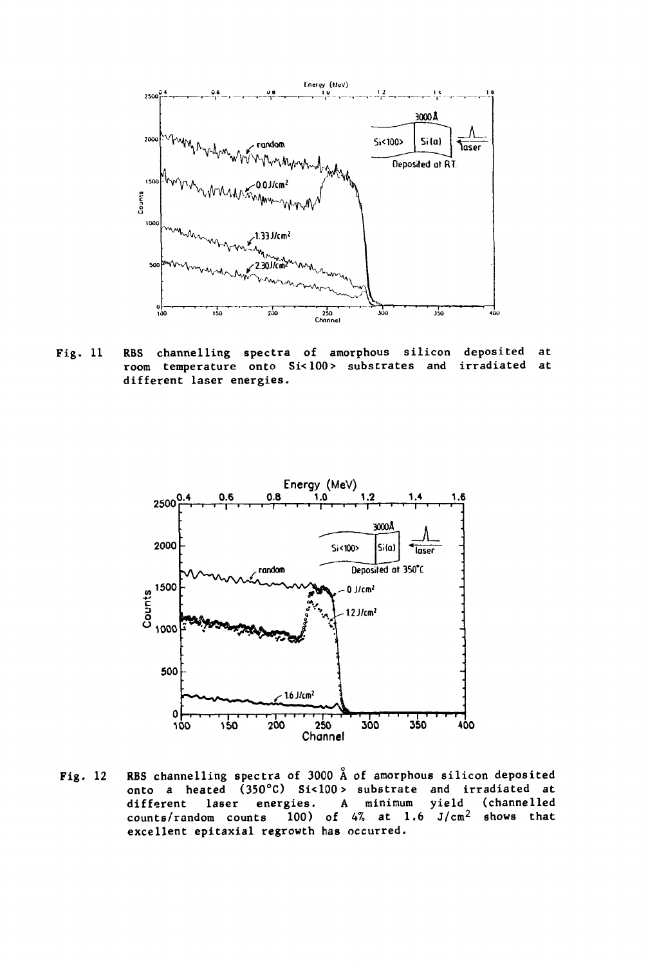

**11 RBS channelling spectra of amorphous silicon deposited at room temperature onto Si<100> substrates and irradiated at different laser energies.** 



**12 RBS channelling spectra of 3000 A of amorphous silicon deposited onto a heated (350°C) Si<100> substrate and irradiated at different laser energies. A minimum yield (channelled counts/random counts 100) of 4% at 1.6 J/cm2 shows that excellent epitaxial regrowth has occurred.**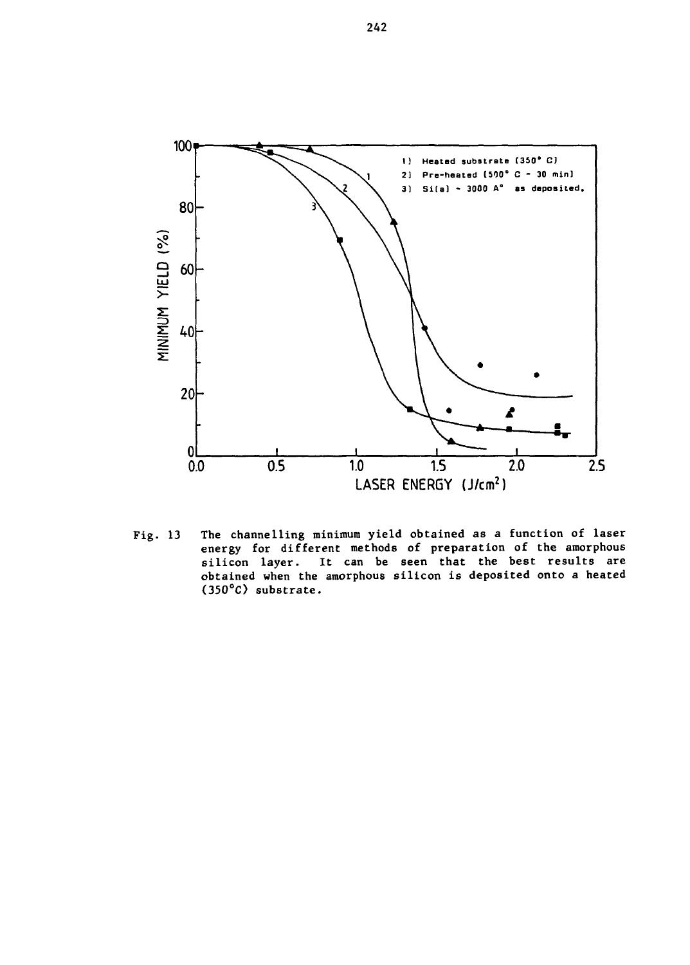

**Fig. 13 The channelling minimum yield obtained as a function of laser energy for different methods of preparation of the amorphous silicon layer. It can be seen that the best results are obtained when the amorphous silicon is deposited onto a heated (350°C) substrate.**